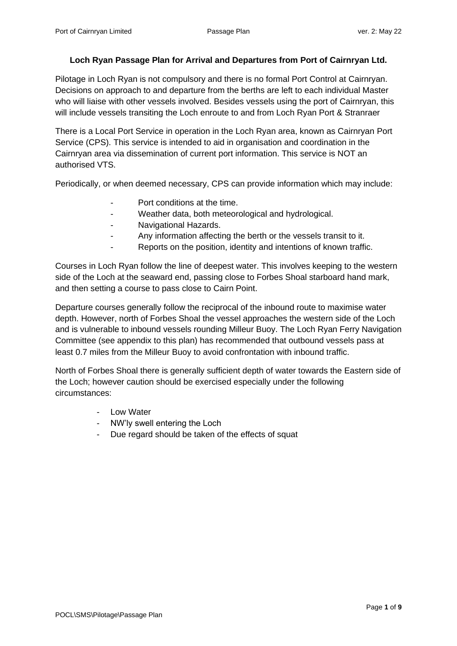#### **Loch Ryan Passage Plan for Arrival and Departures from Port of Cairnryan Ltd.**

Pilotage in Loch Ryan is not compulsory and there is no formal Port Control at Cairnryan. Decisions on approach to and departure from the berths are left to each individual Master who will liaise with other vessels involved. Besides vessels using the port of Cairnryan, this will include vessels transiting the Loch enroute to and from Loch Ryan Port & Stranraer

There is a Local Port Service in operation in the Loch Ryan area, known as Cairnryan Port Service (CPS). This service is intended to aid in organisation and coordination in the Cairnryan area via dissemination of current port information. This service is NOT an authorised VTS.

Periodically, or when deemed necessary, CPS can provide information which may include:

- Port conditions at the time.
- Weather data, both meteorological and hydrological.
- Navigational Hazards.
- Any information affecting the berth or the vessels transit to it.
- Reports on the position, identity and intentions of known traffic.

Courses in Loch Ryan follow the line of deepest water. This involves keeping to the western side of the Loch at the seaward end, passing close to Forbes Shoal starboard hand mark, and then setting a course to pass close to Cairn Point.

Departure courses generally follow the reciprocal of the inbound route to maximise water depth. However, north of Forbes Shoal the vessel approaches the western side of the Loch and is vulnerable to inbound vessels rounding Milleur Buoy. The Loch Ryan Ferry Navigation Committee (see appendix to this plan) has recommended that outbound vessels pass at least 0.7 miles from the Milleur Buoy to avoid confrontation with inbound traffic.

North of Forbes Shoal there is generally sufficient depth of water towards the Eastern side of the Loch; however caution should be exercised especially under the following circumstances:

- Low Water
- NW'ly swell entering the Loch
- Due regard should be taken of the effects of squat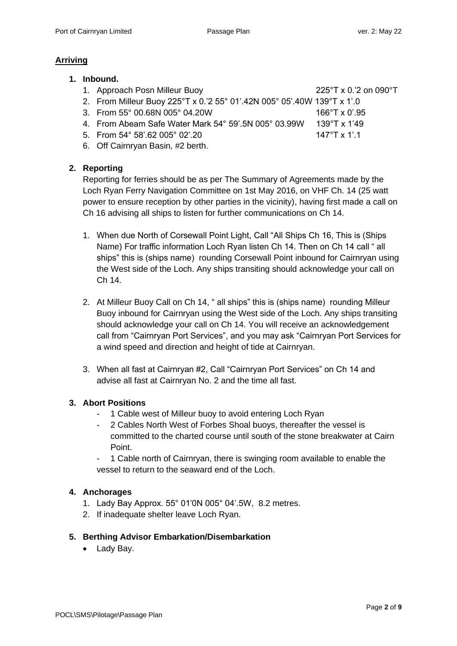#### **Arriving**

- **1. Inbound.**
	- 1. Approach Posn Milleur Buoy 225°T x 0.'2 on 090°T
	- 2. From Milleur Buoy 225°T x 0.'2 55° 01'.42N 005° 05'.40W 139°T x 1'.0
	- 3. From 55° 00.68N 005° 04.20W 166°T x 0'.95
- - 4. From Abeam Safe Water Mark 54° 59'.5N 005° 03.99W 139°T x 1'49
	- 5. From 54° 58'.62 005° 02'.20 147°T x 1'.1
- 

6. Off Cairnryan Basin, #2 berth.

# **2. Reporting**

Reporting for ferries should be as per The Summary of Agreements made by the Loch Ryan Ferry Navigation Committee on 1st May 2016, on VHF Ch. 14 (25 watt power to ensure reception by other parties in the vicinity), having first made a call on Ch 16 advising all ships to listen for further communications on Ch 14.

- 1. When due North of Corsewall Point Light, Call "All Ships Ch 16, This is (Ships Name) For traffic information Loch Ryan listen Ch 14. Then on Ch 14 call " all ships" this is (ships name) rounding Corsewall Point inbound for Cairnryan using the West side of the Loch. Any ships transiting should acknowledge your call on Ch 14.
- 2. At Milleur Buoy Call on Ch 14, " all ships" this is (ships name) rounding Milleur Buoy inbound for Cairnryan using the West side of the Loch. Any ships transiting should acknowledge your call on Ch 14. You will receive an acknowledgement call from "Cairnryan Port Services", and you may ask "Cairnryan Port Services for a wind speed and direction and height of tide at Cairnryan.
- 3. When all fast at Cairnryan #2, Call "Cairnryan Port Services" on Ch 14 and advise all fast at Cairnryan No. 2 and the time all fast.

## **3. Abort Positions**

- 1 Cable west of Milleur buoy to avoid entering Loch Ryan
- 2 Cables North West of Forbes Shoal buoys, thereafter the vessel is committed to the charted course until south of the stone breakwater at Cairn Point.
- 1 Cable north of Cairnryan, there is swinging room available to enable the vessel to return to the seaward end of the Loch.

## **4. Anchorages**

- 1. Lady Bay Approx. 55° 01'0N 005° 04'.5W, 8.2 metres.
- 2. If inadequate shelter leave Loch Ryan.

## **5. Berthing Advisor Embarkation/Disembarkation**

• Lady Bay.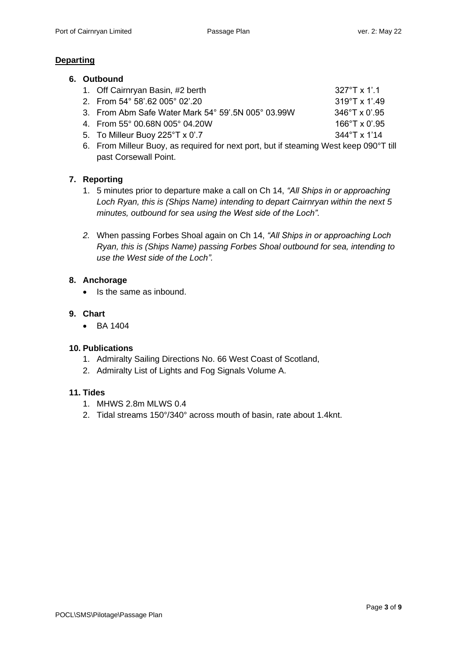#### **Departing**

| 6. | <b>Outbound</b> |
|----|-----------------|
|----|-----------------|

| 1. Off Cairnryan Basin, #2 berth                                               | $327^{\circ}$ T x 1'.1  |
|--------------------------------------------------------------------------------|-------------------------|
| 2. From 54° 58'.62 005° 02'.20                                                 | $319^{\circ}$ T x 1'.49 |
| 3. From Abm Safe Water Mark 54° 59'.5N 005° 03.99W                             | $346^{\circ}$ T x 0'.95 |
| 4. From 55° 00.68N 005° 04.20W                                                 | $166^{\circ}$ T x 0'.95 |
| 5. To Milleur Buoy $225^{\circ}$ T x 0'.7                                      | $344^{\circ}$ T x 1'14  |
| E From Millour Puoy, as required for noyt part but if atooming West keep 000°T |                         |

6. From Milleur Buoy, as required for next port, but if steaming West keep 090°T till past Corsewall Point.

#### **7. Reporting**

- 1. 5 minutes prior to departure make a call on Ch 14, *"All Ships in or approaching Loch Ryan, this is (Ships Name) intending to depart Cairnryan within the next 5 minutes, outbound for sea using the West side of the Loch".*
- *2.* When passing Forbes Shoal again on Ch 14, *"All Ships in or approaching Loch Ryan, this is (Ships Name) passing Forbes Shoal outbound for sea, intending to use the West side of the Loch".*

#### **8. Anchorage**

• Is the same as inbound.

#### **9. Chart**

• BA 1404

#### **10. Publications**

- 1. Admiralty Sailing Directions No. 66 West Coast of Scotland,
- 2. Admiralty List of Lights and Fog Signals Volume A.

#### **11. Tides**

- 1. MHWS 2.8m MLWS 0.4
- 2. Tidal streams 150°/340° across mouth of basin, rate about 1.4knt.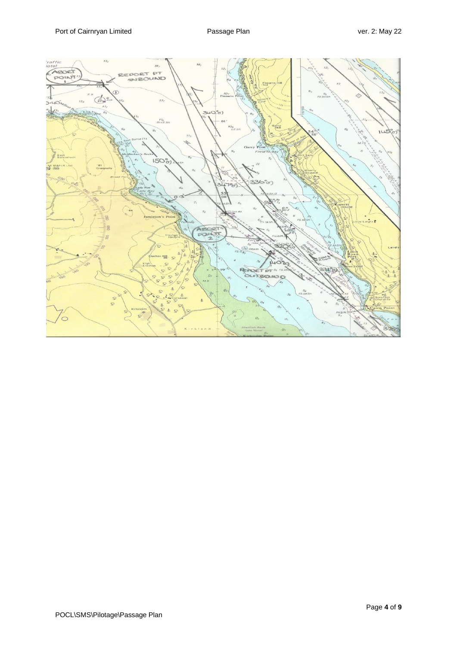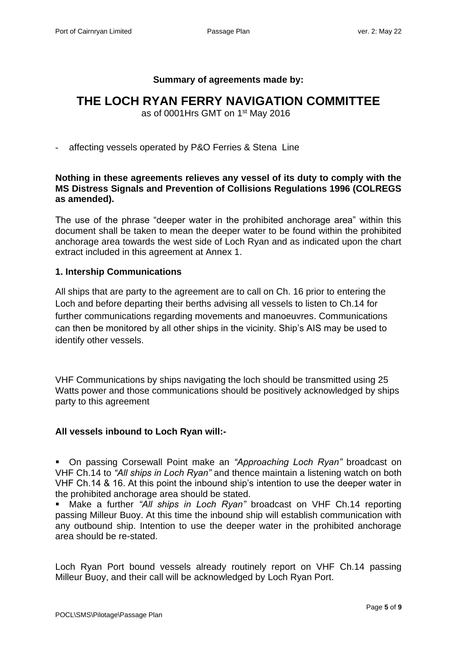#### **Summary of agreements made by:**

# **THE LOCH RYAN FERRY NAVIGATION COMMITTEE**

as of 0001Hrs GMT on 1<sup>st</sup> May 2016

#### - affecting vessels operated by P&O Ferries & Stena Line

## **Nothing in these agreements relieves any vessel of its duty to comply with the MS Distress Signals and Prevention of Collisions Regulations 1996 (COLREGS as amended).**

The use of the phrase "deeper water in the prohibited anchorage area" within this document shall be taken to mean the deeper water to be found within the prohibited anchorage area towards the west side of Loch Ryan and as indicated upon the chart extract included in this agreement at Annex 1.

#### **1. Intership Communications**

All ships that are party to the agreement are to call on Ch. 16 prior to entering the Loch and before departing their berths advising all vessels to listen to Ch.14 for further communications regarding movements and manoeuvres. Communications can then be monitored by all other ships in the vicinity. Ship's AIS may be used to identify other vessels.

VHF Communications by ships navigating the loch should be transmitted using 25 Watts power and those communications should be positively acknowledged by ships party to this agreement

## **All vessels inbound to Loch Ryan will:-**

▪ On passing Corsewall Point make an *"Approaching Loch Ryan"* broadcast on VHF Ch.14 to *"All ships in Loch Ryan"* and thence maintain a listening watch on both VHF Ch.14 & 16. At this point the inbound ship's intention to use the deeper water in the prohibited anchorage area should be stated.

▪ Make a further *"All ships in Loch Ryan"* broadcast on VHF Ch.14 reporting passing Milleur Buoy. At this time the inbound ship will establish communication with any outbound ship. Intention to use the deeper water in the prohibited anchorage area should be re-stated.

Loch Ryan Port bound vessels already routinely report on VHF Ch.14 passing Milleur Buoy, and their call will be acknowledged by Loch Ryan Port.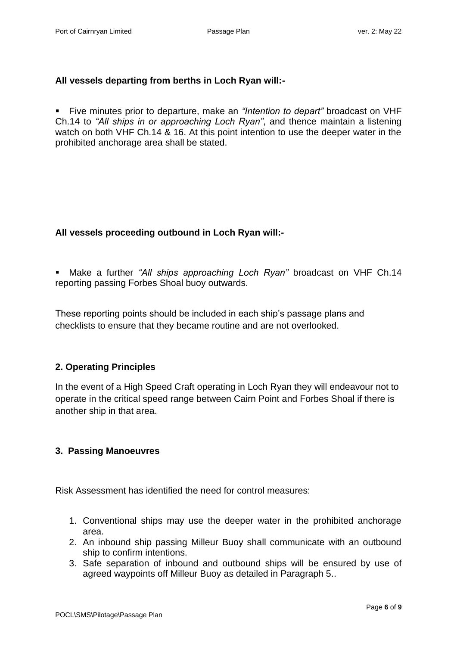# **All vessels departing from berths in Loch Ryan will:-**

▪ Five minutes prior to departure, make an *"Intention to depart"* broadcast on VHF Ch.14 to *"All ships in or approaching Loch Ryan"*, and thence maintain a listening watch on both VHF Ch.14 & 16. At this point intention to use the deeper water in the prohibited anchorage area shall be stated.

# **All vessels proceeding outbound in Loch Ryan will:-**

▪ Make a further *"All ships approaching Loch Ryan"* broadcast on VHF Ch.14 reporting passing Forbes Shoal buoy outwards.

These reporting points should be included in each ship's passage plans and checklists to ensure that they became routine and are not overlooked.

# **2. Operating Principles**

In the event of a High Speed Craft operating in Loch Ryan they will endeavour not to operate in the critical speed range between Cairn Point and Forbes Shoal if there is another ship in that area.

## **3. Passing Manoeuvres**

Risk Assessment has identified the need for control measures:

- 1. Conventional ships may use the deeper water in the prohibited anchorage area.
- 2. An inbound ship passing Milleur Buoy shall communicate with an outbound ship to confirm intentions.
- 3. Safe separation of inbound and outbound ships will be ensured by use of agreed waypoints off Milleur Buoy as detailed in Paragraph 5..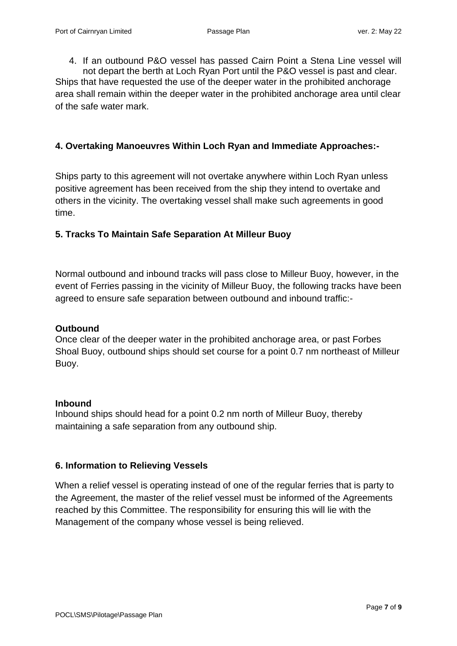4. If an outbound P&O vessel has passed Cairn Point a Stena Line vessel will not depart the berth at Loch Ryan Port until the P&O vessel is past and clear. Ships that have requested the use of the deeper water in the prohibited anchorage area shall remain within the deeper water in the prohibited anchorage area until clear of the safe water mark.

## **4. Overtaking Manoeuvres Within Loch Ryan and Immediate Approaches:-**

Ships party to this agreement will not overtake anywhere within Loch Ryan unless positive agreement has been received from the ship they intend to overtake and others in the vicinity. The overtaking vessel shall make such agreements in good time.

# **5. Tracks To Maintain Safe Separation At Milleur Buoy**

Normal outbound and inbound tracks will pass close to Milleur Buoy, however, in the event of Ferries passing in the vicinity of Milleur Buoy, the following tracks have been agreed to ensure safe separation between outbound and inbound traffic:-

## **Outbound**

Once clear of the deeper water in the prohibited anchorage area, or past Forbes Shoal Buoy, outbound ships should set course for a point 0.7 nm northeast of Milleur Buoy.

## **Inbound**

Inbound ships should head for a point 0.2 nm north of Milleur Buoy, thereby maintaining a safe separation from any outbound ship.

## **6. Information to Relieving Vessels**

When a relief vessel is operating instead of one of the regular ferries that is party to the Agreement, the master of the relief vessel must be informed of the Agreements reached by this Committee. The responsibility for ensuring this will lie with the Management of the company whose vessel is being relieved.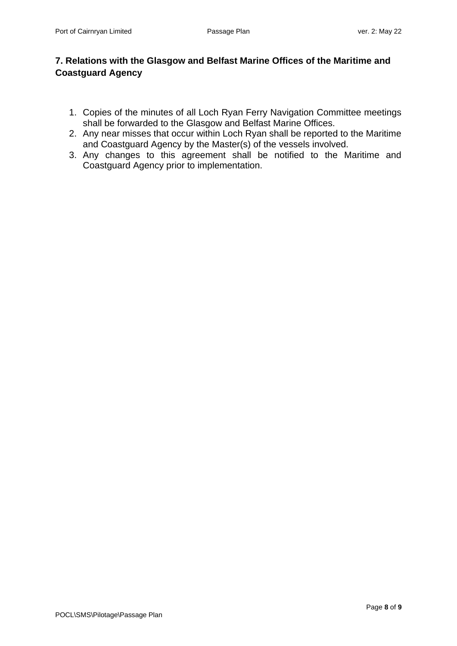# **7. Relations with the Glasgow and Belfast Marine Offices of the Maritime and Coastguard Agency**

- 1. Copies of the minutes of all Loch Ryan Ferry Navigation Committee meetings shall be forwarded to the Glasgow and Belfast Marine Offices.
- 2. Any near misses that occur within Loch Ryan shall be reported to the Maritime and Coastguard Agency by the Master(s) of the vessels involved.
- 3. Any changes to this agreement shall be notified to the Maritime and Coastguard Agency prior to implementation.